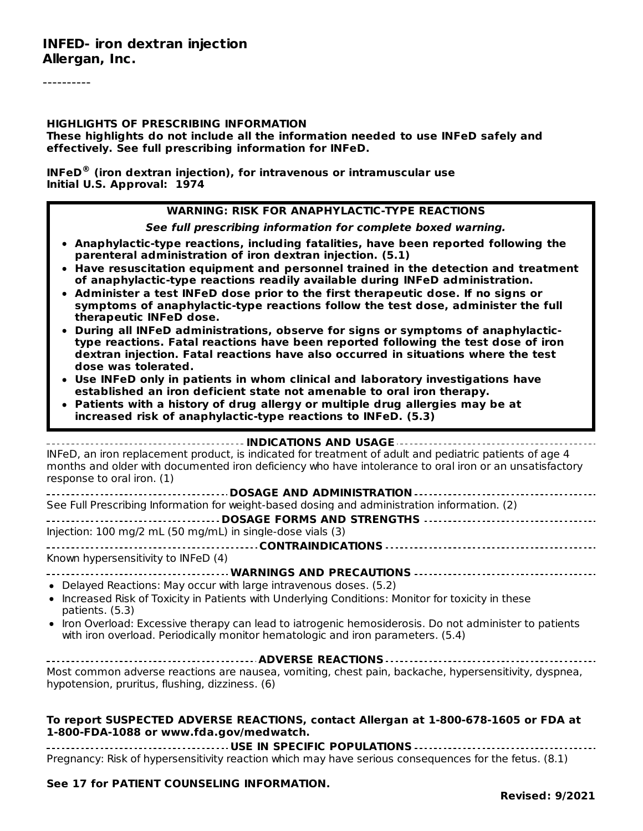#### **HIGHLIGHTS OF PRESCRIBING INFORMATION**

**These highlights do not include all the information needed to use INFeD safely and effectively. See full prescribing information for INFeD.**

**INFeD (iron dextran injection), for intravenous or intramuscular use ®Initial U.S. Approval: 1974**

#### **WARNING: RISK FOR ANAPHYLACTIC-TYPE REACTIONS**

**See full prescribing information for complete boxed warning.**

- **Anaphylactic-type reactions, including fatalities, have been reported following the parenteral administration of iron dextran injection. (5.1)**
- **Have resuscitation equipment and personnel trained in the detection and treatment of anaphylactic-type reactions readily available during INFeD administration.**
- **Administer a test INFeD dose prior to the first therapeutic dose. If no signs or symptoms of anaphylactic-type reactions follow the test dose, administer the full therapeutic INFeD dose.**
- **During all INFeD administrations, observe for signs or symptoms of anaphylactictype reactions. Fatal reactions have been reported following the test dose of iron dextran injection. Fatal reactions have also occurred in situations where the test dose was tolerated.**
- **Use INFeD only in patients in whom clinical and laboratory investigations have established an iron deficient state not amenable to oral iron therapy.**
- **Patients with a history of drug allergy or multiple drug allergies may be at increased risk of anaphylactic-type reactions to INFeD. (5.3)**

| INFeD, an iron replacement product, is indicated for treatment of adult and pediatric patients of age 4<br>months and older with documented iron deficiency who have intolerance to oral iron or an unsatisfactory<br>response to oral iron. (1) |
|--------------------------------------------------------------------------------------------------------------------------------------------------------------------------------------------------------------------------------------------------|
|                                                                                                                                                                                                                                                  |
| See Full Prescribing Information for weight-based dosing and administration information. (2)                                                                                                                                                     |
|                                                                                                                                                                                                                                                  |
| Injection: $100 \text{ mg}/2 \text{ mL}$ (50 mg/mL) in single-dose vials (3)                                                                                                                                                                     |
|                                                                                                                                                                                                                                                  |
| Known hypersensitivity to INFeD (4)                                                                                                                                                                                                              |
|                                                                                                                                                                                                                                                  |
| • Delayed Reactions: May occur with large intravenous doses. (5.2)                                                                                                                                                                               |
| • Increased Risk of Toxicity in Patients with Underlying Conditions: Monitor for toxicity in these<br>patients. (5.3)                                                                                                                            |
| • Iron Overload: Excessive therapy can lead to iatrogenic hemosiderosis. Do not administer to patients<br>with iron overload. Periodically monitor hematologic and iron parameters. (5.4)                                                        |

**ADVERSE REACTIONS** Most common adverse reactions are nausea, vomiting, chest pain, backache, hypersensitivity, dyspnea, hypotension, pruritus, flushing, dizziness. (6)

#### **To report SUSPECTED ADVERSE REACTIONS, contact Allergan at 1-800-678-1605 or FDA at 1-800-FDA-1088 or www.fda.gov/medwatch.**

**USE IN SPECIFIC POPULATIONS** Pregnancy: Risk of hypersensitivity reaction which may have serious consequences for the fetus. (8.1)

#### **See 17 for PATIENT COUNSELING INFORMATION.**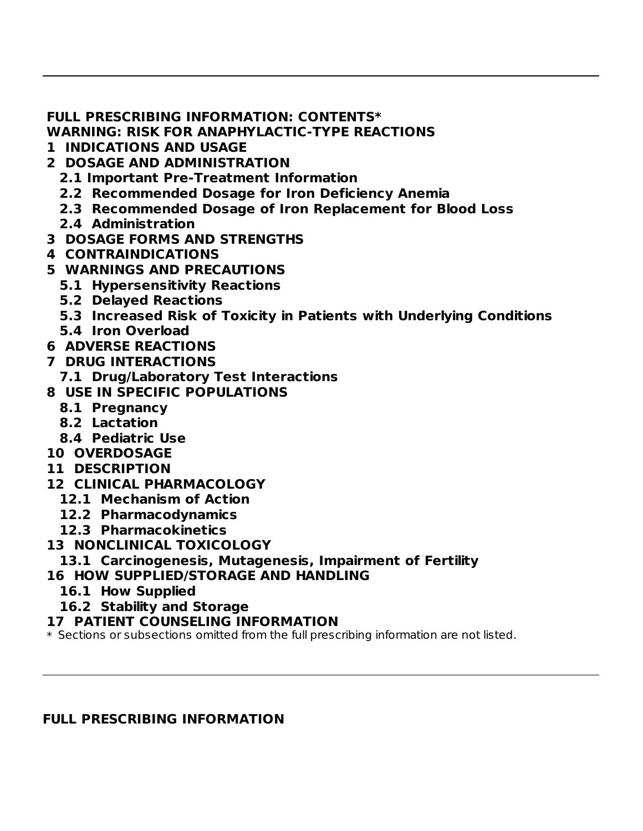#### **FULL PRESCRIBING INFORMATION: CONTENTS\***

**WARNING: RISK FOR ANAPHYLACTIC-TYPE REACTIONS**

- **1 INDICATIONS AND USAGE**
- **2 DOSAGE AND ADMINISTRATION**
	- **2.1 Important Pre-Treatment Information**
	- **2.2 Recommended Dosage for Iron Deficiency Anemia**
	- **2.3 Recommended Dosage of Iron Replacement for Blood Loss**

**Revised: 9/2021**

- **2.4 Administration**
- **3 DOSAGE FORMS AND STRENGTHS**
- **4 CONTRAINDICATIONS**
- **5 WARNINGS AND PRECAUTIONS**
	- **5.1 Hypersensitivity Reactions**
	- **5.2 Delayed Reactions**
	- **5.3 Increased Risk of Toxicity in Patients with Underlying Conditions**
	- **5.4 Iron Overload**
- **6 ADVERSE REACTIONS**
- **7 DRUG INTERACTIONS**
- **7.1 Drug/Laboratory Test Interactions**
- **8 USE IN SPECIFIC POPULATIONS**
	- **8.1 Pregnancy**
	- **8.2 Lactation**
	- **8.4 Pediatric Use**
- **10 OVERDOSAGE**
- **11 DESCRIPTION**
- **12 CLINICAL PHARMACOLOGY**
	- **12.1 Mechanism of Action**
	- **12.2 Pharmacodynamics**
	- **12.3 Pharmacokinetics**
- **13 NONCLINICAL TOXICOLOGY**

## **13.1 Carcinogenesis, Mutagenesis, Impairment of Fertility**

- **16 HOW SUPPLIED/STORAGE AND HANDLING**
	- **16.1 How Supplied**
	- **16.2 Stability and Storage**

### **17 PATIENT COUNSELING INFORMATION**

\* Sections or subsections omitted from the full prescribing information are not listed.

### **FULL PRESCRIBING INFORMATION**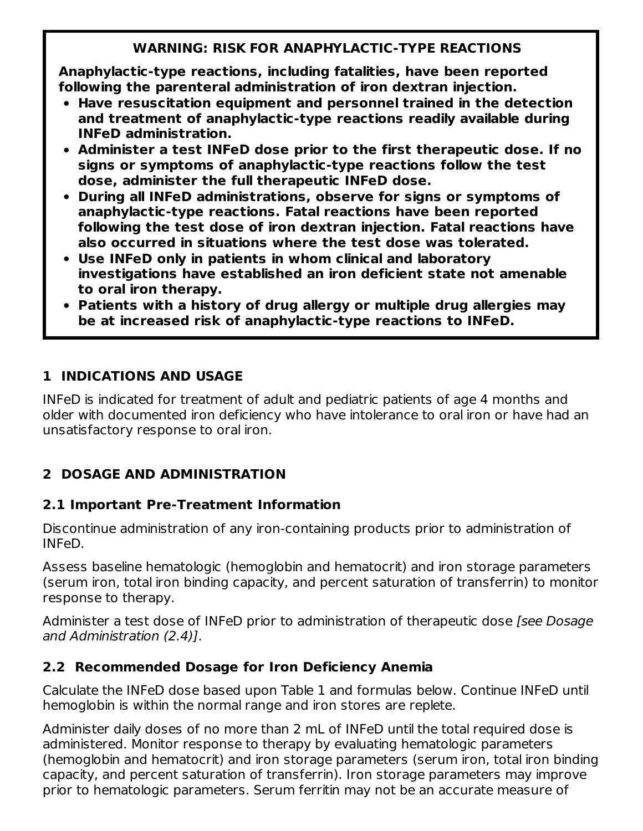# **WARNING: RISK FOR ANAPHYLACTIC-TYPE REACTIONS**

**Anaphylactic-type reactions, including fatalities, have been reported following the parenteral administration of iron dextran injection.**

- **Have resuscitation equipment and personnel trained in the detection and treatment of anaphylactic-type reactions readily available during INFeD administration.**
- **Administer a test INFeD dose prior to the first therapeutic dose. If no signs or symptoms of anaphylactic-type reactions follow the test dose, administer the full therapeutic INFeD dose.**
- **During all INFeD administrations, observe for signs or symptoms of anaphylactic-type reactions. Fatal reactions have been reported following the test dose of iron dextran injection. Fatal reactions have also occurred in situations where the test dose was tolerated.**
- **Use INFeD only in patients in whom clinical and laboratory investigations have established an iron deficient state not amenable to oral iron therapy.**
- **Patients with a history of drug allergy or multiple drug allergies may be at increased risk of anaphylactic-type reactions to INFeD.**

# **1 INDICATIONS AND USAGE**

INFeD is indicated for treatment of adult and pediatric patients of age 4 months and older with documented iron deficiency who have intolerance to oral iron or have had an unsatisfactory response to oral iron.

# **2 DOSAGE AND ADMINISTRATION**

# **2.1 Important Pre-Treatment Information**

Discontinue administration of any iron-containing products prior to administration of INFeD.

Assess baseline hematologic (hemoglobin and hematocrit) and iron storage parameters (serum iron, total iron binding capacity, and percent saturation of transferrin) to monitor response to therapy.

Administer a test dose of INFeD prior to administration of therapeutic dose [see Dosage] and Administration (2.4)].

# **2.2 Recommended Dosage for Iron Deficiency Anemia**

Calculate the INFeD dose based upon Table 1 and formulas below. Continue INFeD until hemoglobin is within the normal range and iron stores are replete.

Administer daily doses of no more than 2 mL of INFeD until the total required dose is administered. Monitor response to therapy by evaluating hematologic parameters (hemoglobin and hematocrit) and iron storage parameters (serum iron, total iron binding capacity, and percent saturation of transferrin). Iron storage parameters may improve prior to hematologic parameters. Serum ferritin may not be an accurate measure of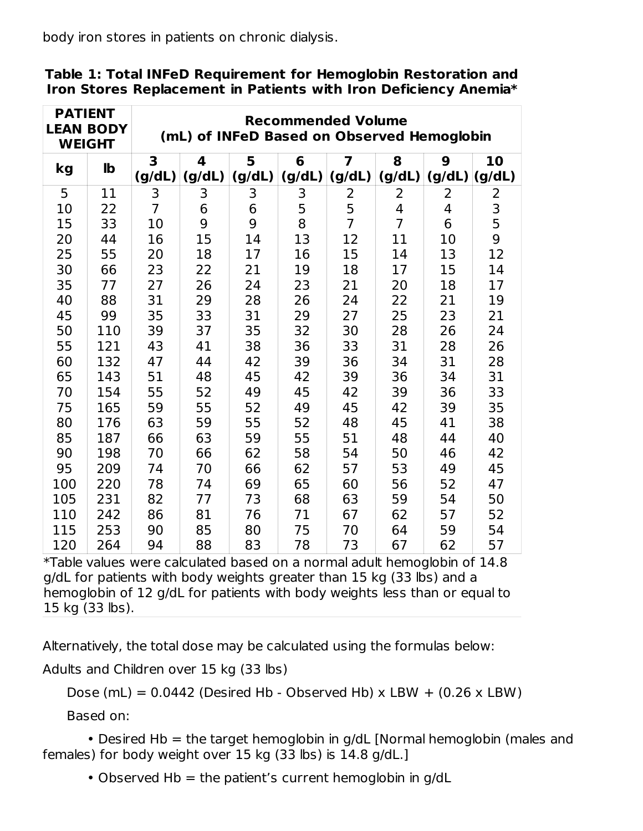body iron stores in patients on chronic dialysis.

| <b>PATIENT</b><br><b>LEAN BODY</b><br><b>WEIGHT</b> |              | <b>Recommended Volume</b><br>(mL) of INFeD Based on Observed Hemoglobin |                                   |             |             |                |                |             |               |  |  |
|-----------------------------------------------------|--------------|-------------------------------------------------------------------------|-----------------------------------|-------------|-------------|----------------|----------------|-------------|---------------|--|--|
| kg                                                  | $\mathbf{I}$ | 3<br>(g/dL)                                                             | $\overline{\mathbf{4}}$<br>(g/dL) | 5<br>(g/dL) | 6<br>(g/dL) | 7<br>(g/dL)    | 8<br>(g/dL)    | 9<br>(g/dL) | 10<br>(g/dL)  |  |  |
| 5                                                   | 11           | 3                                                                       | 3                                 | 3           | 3           | 2              | 2              | 2           | 2             |  |  |
| 10                                                  | 22           | $\overline{7}$                                                          | 6                                 | 6           | 5           | 5              | 4              | 4           |               |  |  |
| 15                                                  | 33           | 10                                                                      | 9                                 | 9           | 8           | $\overline{7}$ | $\overline{7}$ | 6           | $\frac{3}{5}$ |  |  |
| 20                                                  | 44           | 16                                                                      | 15                                | 14          | 13          | 12             | 11             | 10          | 9             |  |  |
| 25                                                  | 55           | 20                                                                      | 18                                | 17          | 16          | 15             | 14             | 13          | 12            |  |  |
| 30                                                  | 66           | 23                                                                      | 22                                | 21          | 19          | 18             | 17             | 15          | 14            |  |  |
| 35                                                  | 77           | 27                                                                      | 26                                | 24          | 23          | 21             | 20             | 18          | 17            |  |  |
| 40                                                  | 88           | 31                                                                      | 29                                | 28          | 26          | 24             | 22             | 21          | 19            |  |  |
| 45                                                  | 99           | 35                                                                      | 33                                | 31          | 29          | 27             | 25             | 23          | 21            |  |  |
| 50                                                  | 110          | 39                                                                      | 37                                | 35          | 32          | 30             | 28             | 26          | 24            |  |  |
| 55                                                  | 121          | 43                                                                      | 41                                | 38          | 36          | 33             | 31             | 28          | 26            |  |  |
| 60                                                  | 132          | 47                                                                      | 44                                | 42          | 39          | 36             | 34             | 31          | 28            |  |  |
| 65                                                  | 143          | 51                                                                      | 48                                | 45          | 42          | 39             | 36             | 34          | 31            |  |  |
| 70                                                  | 154          | 55                                                                      | 52                                | 49          | 45          | 42             | 39             | 36          | 33            |  |  |
| 75                                                  | 165          | 59                                                                      | 55                                | 52          | 49          | 45             | 42             | 39          | 35            |  |  |
| 80                                                  | 176          | 63                                                                      | 59                                | 55          | 52          | 48             | 45             | 41          | 38            |  |  |
| 85                                                  | 187          | 66                                                                      | 63                                | 59          | 55          | 51             | 48             | 44          | 40            |  |  |
| 90                                                  | 198          | 70                                                                      | 66                                | 62          | 58          | 54             | 50             | 46          | 42            |  |  |
| 95                                                  | 209          | 74                                                                      | 70                                | 66          | 62          | 57             | 53             | 49          | 45            |  |  |
| 100                                                 | 220          | 78                                                                      | 74                                | 69          | 65          | 60             | 56             | 52          | 47            |  |  |
| 105                                                 | 231          | 82                                                                      | 77                                | 73          | 68          | 63             | 59             | 54          | 50            |  |  |
| 110                                                 | 242          | 86                                                                      | 81                                | 76          | 71          | 67             | 62             | 57          | 52            |  |  |
| 115                                                 | 253          | 90                                                                      | 85                                | 80          | 75          | 70             | 64             | 59          | 54            |  |  |
| 120                                                 | 264          | 94                                                                      | 88                                | 83          | 78          | 73             | 67             | 62          | 57            |  |  |

**Table 1: Total INFeD Requirement for Hemoglobin Restoration and Iron Stores Replacement in Patients with Iron Deficiency Anemia\***

\*Table values were calculated based on a normal adult hemoglobin of 14.8 g/dL for patients with body weights greater than 15 kg (33 lbs) and a hemoglobin of 12 g/dL for patients with body weights less than or equal to kg (33 lbs).

Alternatively, the total dose may be calculated using the formulas below:

Adults and Children over 15 kg (33 lbs)

Dose (mL) =  $0.0442$  (Desired Hb - Observed Hb) x LBW + (0.26 x LBW)

Based on:

• Desired Hb = the target hemoglobin in g/dL [Normal hemoglobin (males and females) for body weight over 15 kg (33 lbs) is 14.8 g/dL.]

• Observed Hb  $=$  the patient's current hemoglobin in g/dL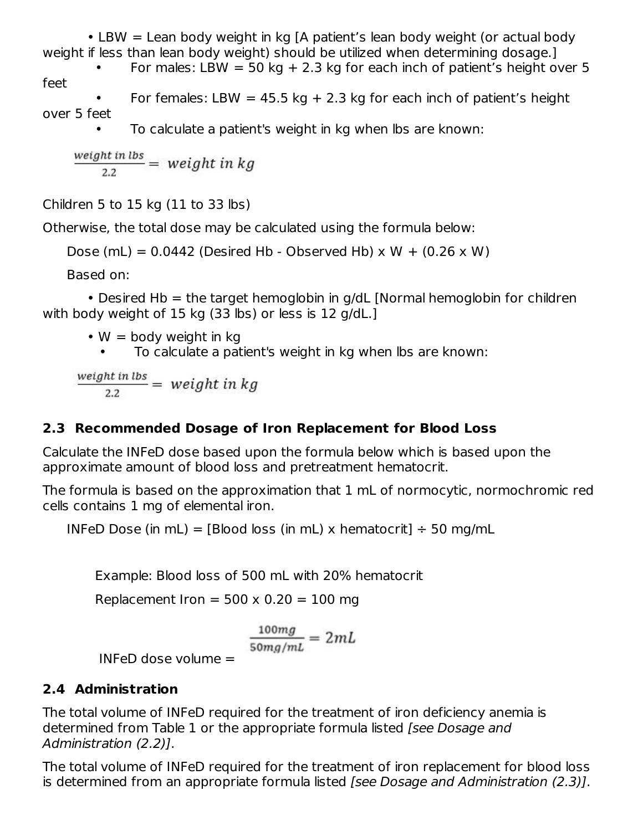• LBW = Lean body weight in kg [A patient's lean body weight (or actual body weight if less than lean body weight) should be utilized when determining dosage.] For males: LBW = 50 kg + 2.3 kg for each inch of patient's height over 5

feet

• For females: LBW = 45.5 kg + 2.3 kg for each inch of patient's height over 5 feet

• To calculate a patient's weight in kg when lbs are known:

 $\frac{weight \, in \, lbs}{2.2} = \, weight \, in \, kg$ 

Children 5 to 15 kg (11 to 33 lbs)

Otherwise, the total dose may be calculated using the formula below:

```
Dose (mL) = 0.0442 (Desired Hb - Observed Hb) x W + (0.26 x W)
```
Based on:

• Desired  $Hb =$  the target hemoglobin in g/dL [Normal hemoglobin for children with body weight of 15 kg (33 lbs) or less is 12 g/dL.]

•  $W =$  body weight in kg

• To calculate a patient's weight in kg when lbs are known:

 $\frac{weight \, in \, lbs}{2.2} = \, weight \, in \, kg$ 

# **2.3 Recommended Dosage of Iron Replacement for Blood Loss**

Calculate the INFeD dose based upon the formula below which is based upon the approximate amount of blood loss and pretreatment hematocrit.

The formula is based on the approximation that 1 mL of normocytic, normochromic red cells contains 1 mg of elemental iron.

INFeD Dose (in mL) = [Blood loss (in mL) x hematocrit]  $\div$  50 mg/mL

Example: Blood loss of 500 mL with 20% hematocrit

Replacement Iron =  $500 \times 0.20 = 100$  mg

$$
\frac{100mg}{50mg/mL} = 2mL
$$

INFeD dose volume =

## **2.4 Administration**

The total volume of INFeD required for the treatment of iron deficiency anemia is determined from Table 1 or the appropriate formula listed [see Dosage and Administration (2.2)].

The total volume of INFeD required for the treatment of iron replacement for blood loss is determined from an appropriate formula listed [see Dosage and Administration (2.3)].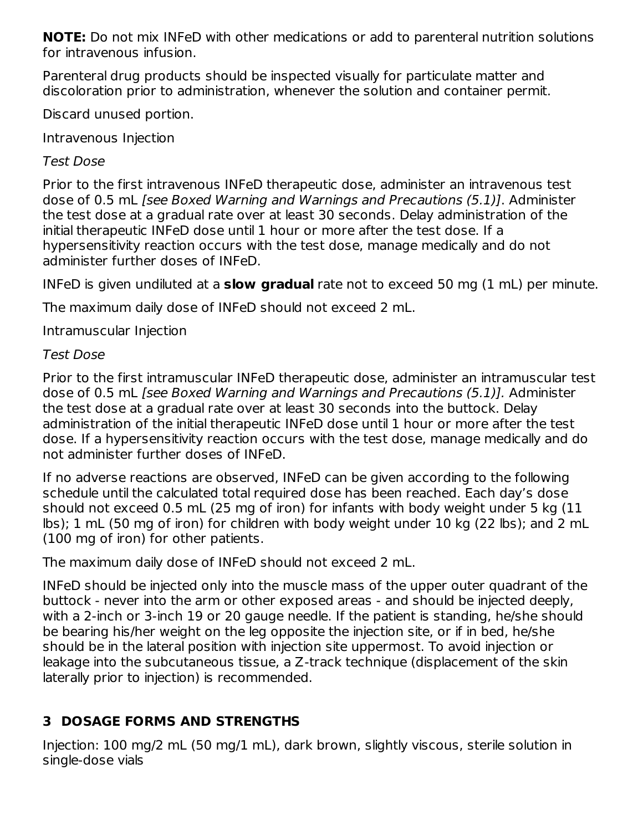**NOTE:** Do not mix INFeD with other medications or add to parenteral nutrition solutions for intravenous infusion.

Parenteral drug products should be inspected visually for particulate matter and discoloration prior to administration, whenever the solution and container permit.

Discard unused portion.

Intravenous Injection

Test Dose

Prior to the first intravenous INFeD therapeutic dose, administer an intravenous test dose of 0.5 mL [see Boxed Warning and Warnings and Precautions (5.1)]. Administer the test dose at a gradual rate over at least 30 seconds. Delay administration of the initial therapeutic INFeD dose until 1 hour or more after the test dose. If a hypersensitivity reaction occurs with the test dose, manage medically and do not administer further doses of INFeD.

INFeD is given undiluted at a **slow gradual** rate not to exceed 50 mg (1 mL) per minute.

The maximum daily dose of INFeD should not exceed 2 mL.

Intramuscular Injection

## Test Dose

Prior to the first intramuscular INFeD therapeutic dose, administer an intramuscular test dose of 0.5 mL [see Boxed Warning and Warnings and Precautions (5.1)]. Administer the test dose at a gradual rate over at least 30 seconds into the buttock. Delay administration of the initial therapeutic INFeD dose until 1 hour or more after the test dose. If a hypersensitivity reaction occurs with the test dose, manage medically and do not administer further doses of INFeD.

If no adverse reactions are observed, INFeD can be given according to the following schedule until the calculated total required dose has been reached. Each day's dose should not exceed 0.5 mL (25 mg of iron) for infants with body weight under 5 kg (11 lbs); 1 mL (50 mg of iron) for children with body weight under 10 kg (22 lbs); and 2 mL (100 mg of iron) for other patients.

The maximum daily dose of INFeD should not exceed 2 mL.

INFeD should be injected only into the muscle mass of the upper outer quadrant of the buttock - never into the arm or other exposed areas - and should be injected deeply, with a 2-inch or 3-inch 19 or 20 gauge needle. If the patient is standing, he/she should be bearing his/her weight on the leg opposite the injection site, or if in bed, he/she should be in the lateral position with injection site uppermost. To avoid injection or leakage into the subcutaneous tissue, a Z-track technique (displacement of the skin laterally prior to injection) is recommended.

# **3 DOSAGE FORMS AND STRENGTHS**

Injection: 100 mg/2 mL (50 mg/1 mL), dark brown, slightly viscous, sterile solution in single-dose vials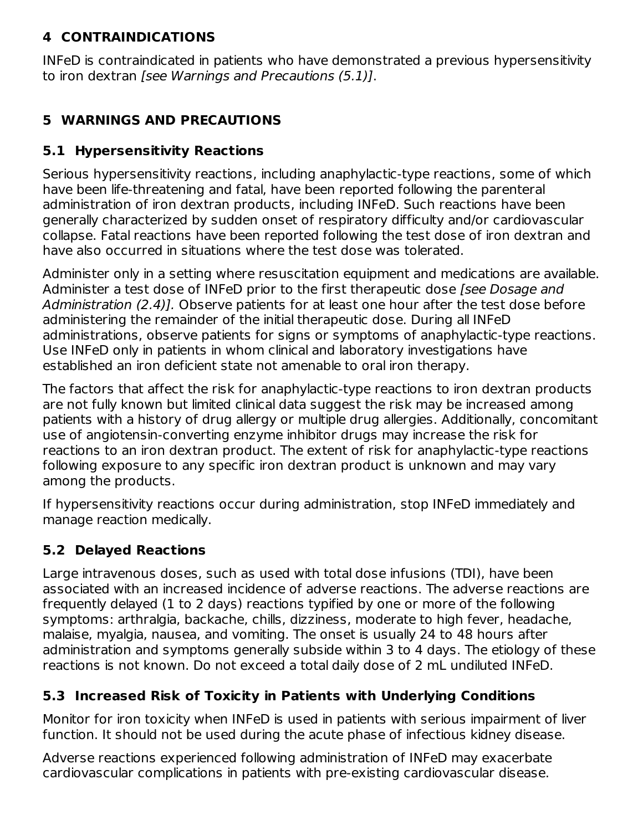## **4 CONTRAINDICATIONS**

INFeD is contraindicated in patients who have demonstrated a previous hypersensitivity to iron dextran [see Warnings and Precautions (5.1)].

# **5 WARNINGS AND PRECAUTIONS**

## **5.1 Hypersensitivity Reactions**

Serious hypersensitivity reactions, including anaphylactic-type reactions, some of which have been life-threatening and fatal, have been reported following the parenteral administration of iron dextran products, including INFeD. Such reactions have been generally characterized by sudden onset of respiratory difficulty and/or cardiovascular collapse. Fatal reactions have been reported following the test dose of iron dextran and have also occurred in situations where the test dose was tolerated.

Administer only in a setting where resuscitation equipment and medications are available. Administer a test dose of INFeD prior to the first therapeutic dose *[see Dosage and* Administration (2.4)]. Observe patients for at least one hour after the test dose before administering the remainder of the initial therapeutic dose. During all INFeD administrations, observe patients for signs or symptoms of anaphylactic-type reactions. Use INFeD only in patients in whom clinical and laboratory investigations have established an iron deficient state not amenable to oral iron therapy.

The factors that affect the risk for anaphylactic-type reactions to iron dextran products are not fully known but limited clinical data suggest the risk may be increased among patients with a history of drug allergy or multiple drug allergies. Additionally, concomitant use of angiotensin-converting enzyme inhibitor drugs may increase the risk for reactions to an iron dextran product. The extent of risk for anaphylactic-type reactions following exposure to any specific iron dextran product is unknown and may vary among the products.

If hypersensitivity reactions occur during administration, stop INFeD immediately and manage reaction medically.

## **5.2 Delayed Reactions**

Large intravenous doses, such as used with total dose infusions (TDI), have been associated with an increased incidence of adverse reactions. The adverse reactions are frequently delayed (1 to 2 days) reactions typified by one or more of the following symptoms: arthralgia, backache, chills, dizziness, moderate to high fever, headache, malaise, myalgia, nausea, and vomiting. The onset is usually 24 to 48 hours after administration and symptoms generally subside within 3 to 4 days. The etiology of these reactions is not known. Do not exceed a total daily dose of 2 mL undiluted INFeD.

## **5.3 Increased Risk of Toxicity in Patients with Underlying Conditions**

Monitor for iron toxicity when INFeD is used in patients with serious impairment of liver function. It should not be used during the acute phase of infectious kidney disease.

Adverse reactions experienced following administration of INFeD may exacerbate cardiovascular complications in patients with pre-existing cardiovascular disease.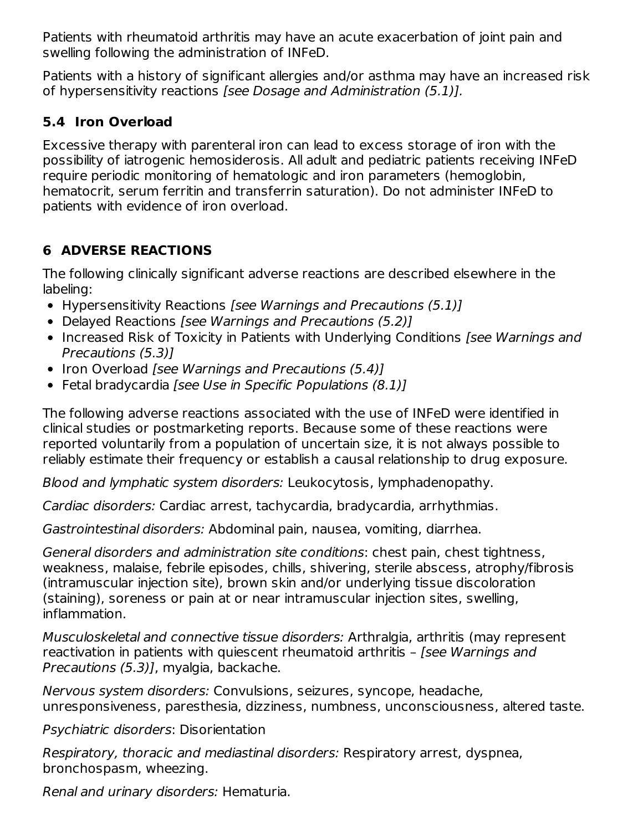Patients with rheumatoid arthritis may have an acute exacerbation of joint pain and swelling following the administration of INFeD.

Patients with a history of significant allergies and/or asthma may have an increased risk of hypersensitivity reactions [see Dosage and Administration (5.1)].

# **5.4 Iron Overload**

Excessive therapy with parenteral iron can lead to excess storage of iron with the possibility of iatrogenic hemosiderosis. All adult and pediatric patients receiving INFeD require periodic monitoring of hematologic and iron parameters (hemoglobin, hematocrit, serum ferritin and transferrin saturation). Do not administer INFeD to patients with evidence of iron overload.

# **6 ADVERSE REACTIONS**

The following clinically significant adverse reactions are described elsewhere in the labeling:

- Hypersensitivity Reactions [see Warnings and Precautions (5.1)]
- Delayed Reactions [see Warnings and Precautions (5.2)]
- Increased Risk of Toxicity in Patients with Underlying Conditions *[see Warnings and* Precautions (5.3)]
- Iron Overload [see Warnings and Precautions (5.4)]
- Fetal bradycardia [see Use in Specific Populations (8.1)]

The following adverse reactions associated with the use of INFeD were identified in clinical studies or postmarketing reports. Because some of these reactions were reported voluntarily from a population of uncertain size, it is not always possible to reliably estimate their frequency or establish a causal relationship to drug exposure.

Blood and lymphatic system disorders: Leukocytosis, lymphadenopathy.

Cardiac disorders: Cardiac arrest, tachycardia, bradycardia, arrhythmias.

Gastrointestinal disorders: Abdominal pain, nausea, vomiting, diarrhea.

General disorders and administration site conditions: chest pain, chest tightness, weakness, malaise, febrile episodes, chills, shivering, sterile abscess, atrophy/fibrosis (intramuscular injection site), brown skin and/or underlying tissue discoloration (staining), soreness or pain at or near intramuscular injection sites, swelling, inflammation.

Musculoskeletal and connective tissue disorders: Arthralgia, arthritis (may represent reactivation in patients with quiescent rheumatoid arthritis - [see Warnings and Precautions (5.3)], myalgia, backache.

Nervous system disorders: Convulsions, seizures, syncope, headache, unresponsiveness, paresthesia, dizziness, numbness, unconsciousness, altered taste.

Psychiatric disorders: Disorientation

Respiratory, thoracic and mediastinal disorders: Respiratory arrest, dyspnea, bronchospasm, wheezing.

Renal and urinary disorders: Hematuria.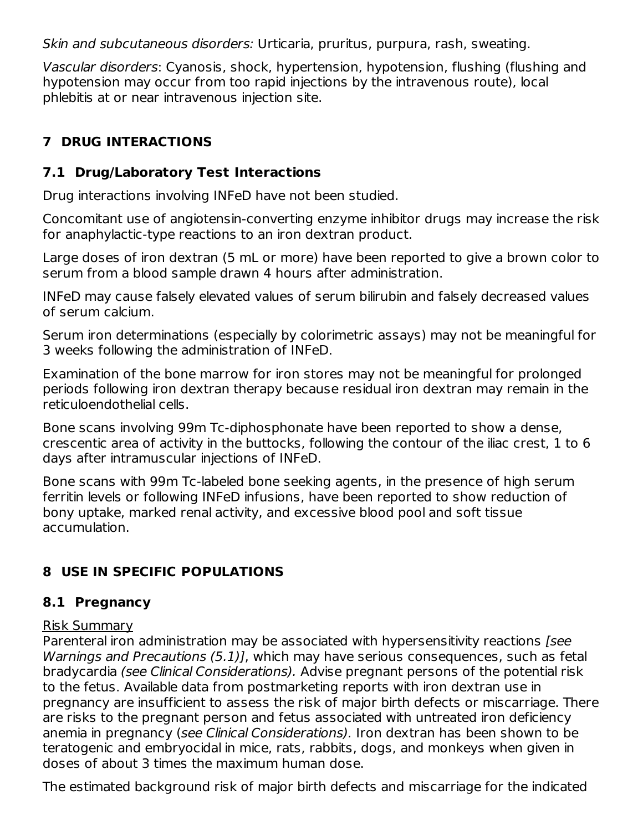Skin and subcutaneous disorders: Urticaria, pruritus, purpura, rash, sweating.

Vascular disorders: Cyanosis, shock, hypertension, hypotension, flushing (flushing and hypotension may occur from too rapid injections by the intravenous route), local phlebitis at or near intravenous injection site.

# **7 DRUG INTERACTIONS**

# **7.1 Drug/Laboratory Test Interactions**

Drug interactions involving INFeD have not been studied.

Concomitant use of angiotensin-converting enzyme inhibitor drugs may increase the risk for anaphylactic-type reactions to an iron dextran product.

Large doses of iron dextran (5 mL or more) have been reported to give a brown color to serum from a blood sample drawn 4 hours after administration.

INFeD may cause falsely elevated values of serum bilirubin and falsely decreased values of serum calcium.

Serum iron determinations (especially by colorimetric assays) may not be meaningful for 3 weeks following the administration of INFeD.

Examination of the bone marrow for iron stores may not be meaningful for prolonged periods following iron dextran therapy because residual iron dextran may remain in the reticuloendothelial cells.

Bone scans involving 99m Tc-diphosphonate have been reported to show a dense, crescentic area of activity in the buttocks, following the contour of the iliac crest, 1 to 6 days after intramuscular injections of INFeD.

Bone scans with 99m Tc-labeled bone seeking agents, in the presence of high serum ferritin levels or following INFeD infusions, have been reported to show reduction of bony uptake, marked renal activity, and excessive blood pool and soft tissue accumulation.

# **8 USE IN SPECIFIC POPULATIONS**

# **8.1 Pregnancy**

## Risk Summary

Parenteral iron administration may be associated with hypersensitivity reactions [see Warnings and Precautions (5.1)], which may have serious consequences, such as fetal bradycardia (see Clinical Considerations). Advise pregnant persons of the potential risk to the fetus. Available data from postmarketing reports with iron dextran use in pregnancy are insufficient to assess the risk of major birth defects or miscarriage. There are risks to the pregnant person and fetus associated with untreated iron deficiency anemia in pregnancy (see Clinical Considerations). Iron dextran has been shown to be teratogenic and embryocidal in mice, rats, rabbits, dogs, and monkeys when given in doses of about 3 times the maximum human dose.

The estimated background risk of major birth defects and miscarriage for the indicated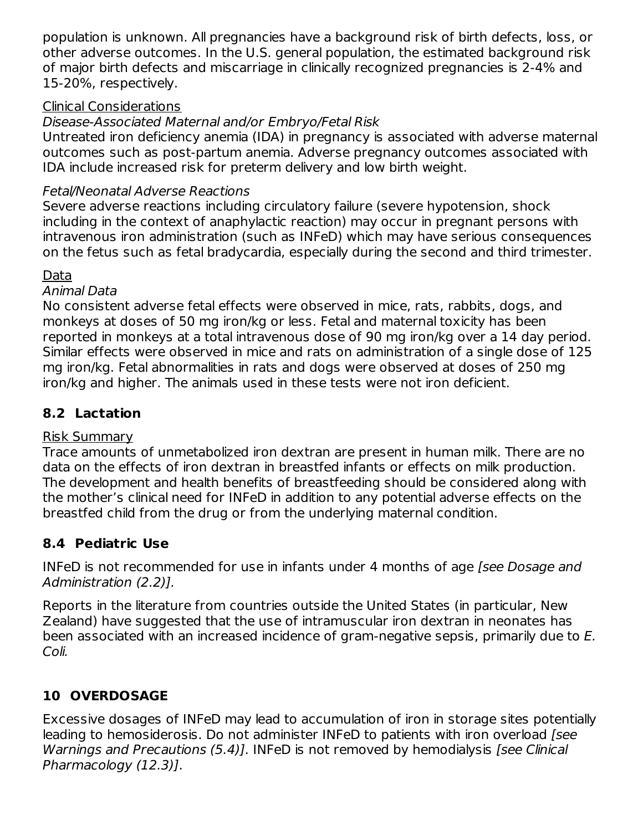population is unknown. All pregnancies have a background risk of birth defects, loss, or other adverse outcomes. In the U.S. general population, the estimated background risk of major birth defects and miscarriage in clinically recognized pregnancies is 2-4% and 15-20%, respectively.

## Clinical Considerations

# Disease-Associated Maternal and/or Embryo/Fetal Risk

Untreated iron deficiency anemia (IDA) in pregnancy is associated with adverse maternal outcomes such as post-partum anemia. Adverse pregnancy outcomes associated with IDA include increased risk for preterm delivery and low birth weight.

# Fetal/Neonatal Adverse Reactions

Severe adverse reactions including circulatory failure (severe hypotension, shock including in the context of anaphylactic reaction) may occur in pregnant persons with intravenous iron administration (such as INFeD) which may have serious consequences on the fetus such as fetal bradycardia, especially during the second and third trimester.

## Data

### Animal Data

No consistent adverse fetal effects were observed in mice, rats, rabbits, dogs, and monkeys at doses of 50 mg iron/kg or less. Fetal and maternal toxicity has been reported in monkeys at a total intravenous dose of 90 mg iron/kg over a 14 day period. Similar effects were observed in mice and rats on administration of a single dose of 125 mg iron/kg. Fetal abnormalities in rats and dogs were observed at doses of 250 mg iron/kg and higher. The animals used in these tests were not iron deficient.

# **8.2 Lactation**

## Risk Summary

Trace amounts of unmetabolized iron dextran are present in human milk. There are no data on the effects of iron dextran in breastfed infants or effects on milk production. The development and health benefits of breastfeeding should be considered along with the mother's clinical need for INFeD in addition to any potential adverse effects on the breastfed child from the drug or from the underlying maternal condition.

# **8.4 Pediatric Use**

INFeD is not recommended for use in infants under 4 months of age (see Dosage and Administration (2.2)].

Reports in the literature from countries outside the United States (in particular, New Zealand) have suggested that the use of intramuscular iron dextran in neonates has been associated with an increased incidence of gram-negative sepsis, primarily due to E. Coli.

# **10 OVERDOSAGE**

Excessive dosages of INFeD may lead to accumulation of iron in storage sites potentially leading to hemosiderosis. Do not administer INFeD to patients with iron overload [see Warnings and Precautions (5.4)]. INFeD is not removed by hemodialysis [see Clinical Pharmacology (12.3)].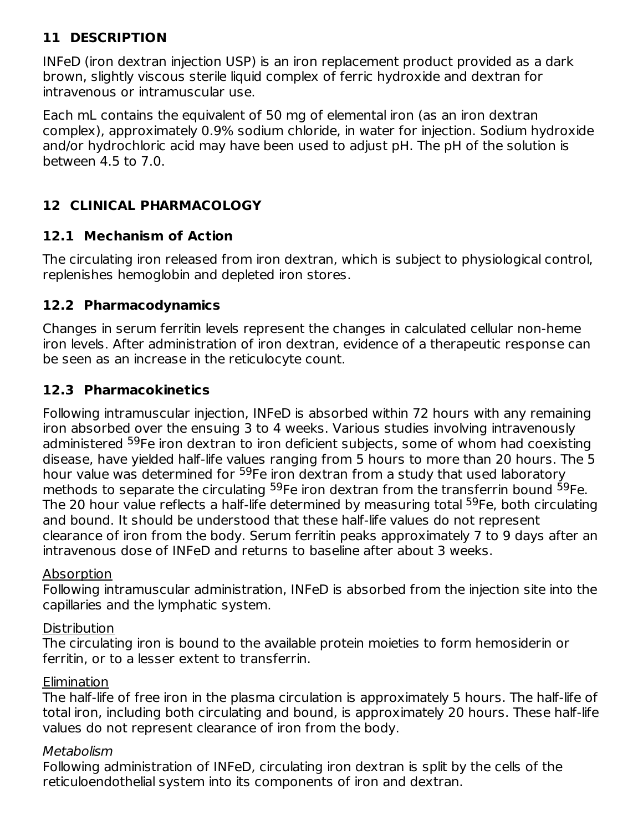# **11 DESCRIPTION**

INFeD (iron dextran injection USP) is an iron replacement product provided as a dark brown, slightly viscous sterile liquid complex of ferric hydroxide and dextran for intravenous or intramuscular use.

Each mL contains the equivalent of 50 mg of elemental iron (as an iron dextran complex), approximately 0.9% sodium chloride, in water for injection. Sodium hydroxide and/or hydrochloric acid may have been used to adjust pH. The pH of the solution is between 4.5 to 7.0.

# **12 CLINICAL PHARMACOLOGY**

## **12.1 Mechanism of Action**

The circulating iron released from iron dextran, which is subject to physiological control, replenishes hemoglobin and depleted iron stores.

## **12.2 Pharmacodynamics**

Changes in serum ferritin levels represent the changes in calculated cellular non-heme iron levels. After administration of iron dextran, evidence of a therapeutic response can be seen as an increase in the reticulocyte count.

## **12.3 Pharmacokinetics**

Following intramuscular injection, INFeD is absorbed within 72 hours with any remaining iron absorbed over the ensuing 3 to 4 weeks. Various studies involving intravenously administered <sup>59</sup>Fe iron dextran to iron deficient subjects, some of whom had coexisting disease, have yielded half-life values ranging from 5 hours to more than 20 hours. The 5 hour value was determined for <sup>59</sup>Fe iron dextran from a study that used laboratory methods to separate the circulating <sup>59</sup>Fe iron dextran from the transferrin bound <sup>59</sup>Fe. The 20 hour value reflects a half-life determined by measuring total <sup>59</sup>Fe, both circulating and bound. It should be understood that these half-life values do not represent clearance of iron from the body. Serum ferritin peaks approximately 7 to 9 days after an intravenous dose of INFeD and returns to baseline after about 3 weeks.

### Absorption

Following intramuscular administration, INFeD is absorbed from the injection site into the capillaries and the lymphatic system.

### **Distribution**

The circulating iron is bound to the available protein moieties to form hemosiderin or ferritin, or to a lesser extent to transferrin.

### Elimination

The half-life of free iron in the plasma circulation is approximately 5 hours. The half-life of total iron, including both circulating and bound, is approximately 20 hours. These half-life values do not represent clearance of iron from the body.

### Metabolism

Following administration of INFeD, circulating iron dextran is split by the cells of the reticuloendothelial system into its components of iron and dextran.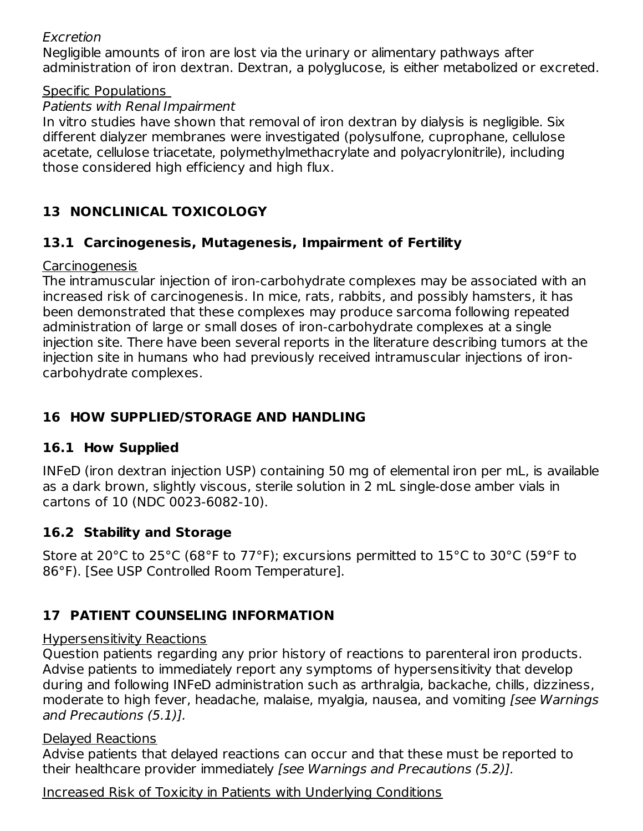### Excretion

Negligible amounts of iron are lost via the urinary or alimentary pathways after administration of iron dextran. Dextran, a polyglucose, is either metabolized or excreted.

### Specific Populations

### Patients with Renal Impairment

In vitro studies have shown that removal of iron dextran by dialysis is negligible. Six different dialyzer membranes were investigated (polysulfone, cuprophane, cellulose acetate, cellulose triacetate, polymethylmethacrylate and polyacrylonitrile), including those considered high efficiency and high flux.

# **13 NONCLINICAL TOXICOLOGY**

## **13.1 Carcinogenesis, Mutagenesis, Impairment of Fertility**

### Carcinogenesis

The intramuscular injection of iron-carbohydrate complexes may be associated with an increased risk of carcinogenesis. In mice, rats, rabbits, and possibly hamsters, it has been demonstrated that these complexes may produce sarcoma following repeated administration of large or small doses of iron-carbohydrate complexes at a single injection site. There have been several reports in the literature describing tumors at the injection site in humans who had previously received intramuscular injections of ironcarbohydrate complexes.

# **16 HOW SUPPLIED/STORAGE AND HANDLING**

## **16.1 How Supplied**

INFeD (iron dextran injection USP) containing 50 mg of elemental iron per mL, is available as a dark brown, slightly viscous, sterile solution in 2 mL single-dose amber vials in cartons of 10 (NDC 0023-6082-10).

## **16.2 Stability and Storage**

Store at 20°C to 25°C (68°F to 77°F); excursions permitted to 15°C to 30°C (59°F to 86°F). [See USP Controlled Room Temperature].

# **17 PATIENT COUNSELING INFORMATION**

### Hypersensitivity Reactions

Question patients regarding any prior history of reactions to parenteral iron products. Advise patients to immediately report any symptoms of hypersensitivity that develop during and following INFeD administration such as arthralgia, backache, chills, dizziness, moderate to high fever, headache, malaise, myalgia, nausea, and vomiting [see Warnings] and Precautions (5.1)].

### Delayed Reactions

Advise patients that delayed reactions can occur and that these must be reported to their healthcare provider immediately [see Warnings and Precautions (5.2)].

### Increased Risk of Toxicity in Patients with Underlying Conditions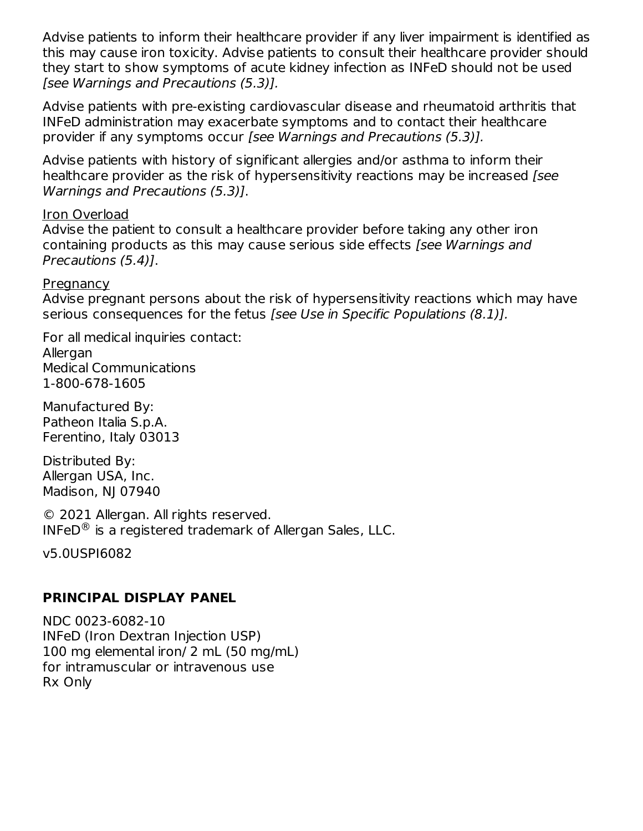Advise patients to inform their healthcare provider if any liver impairment is identified as this may cause iron toxicity. Advise patients to consult their healthcare provider should they start to show symptoms of acute kidney infection as INFeD should not be used [see Warnings and Precautions (5.3)].

Advise patients with pre-existing cardiovascular disease and rheumatoid arthritis that INFeD administration may exacerbate symptoms and to contact their healthcare provider if any symptoms occur [see Warnings and Precautions (5.3)].

Advise patients with history of significant allergies and/or asthma to inform their healthcare provider as the risk of hypersensitivity reactions may be increased [see Warnings and Precautions (5.3)].

#### Iron Overload

Advise the patient to consult a healthcare provider before taking any other iron containing products as this may cause serious side effects [see Warnings and Precautions (5.4)].

#### Pregnancy

Advise pregnant persons about the risk of hypersensitivity reactions which may have serious consequences for the fetus *[see Use in Specific Populations (8.1)]*.

For all medical inquiries contact: Allergan Medical Communications 1-800-678-1605

Manufactured By: Patheon Italia S.p.A. Ferentino, Italy 03013

Distributed By: Allergan USA, Inc. Madison, NJ 07940

© 2021 Allergan. All rights reserved. INFeD $^\circledR$  is a registered trademark of Allergan Sales, LLC.

v5.0USPI6082

### **PRINCIPAL DISPLAY PANEL**

NDC 0023-6082-10 INFeD (Iron Dextran Injection USP) 100 mg elemental iron/ 2 mL (50 mg/mL) for intramuscular or intravenous use Rx Only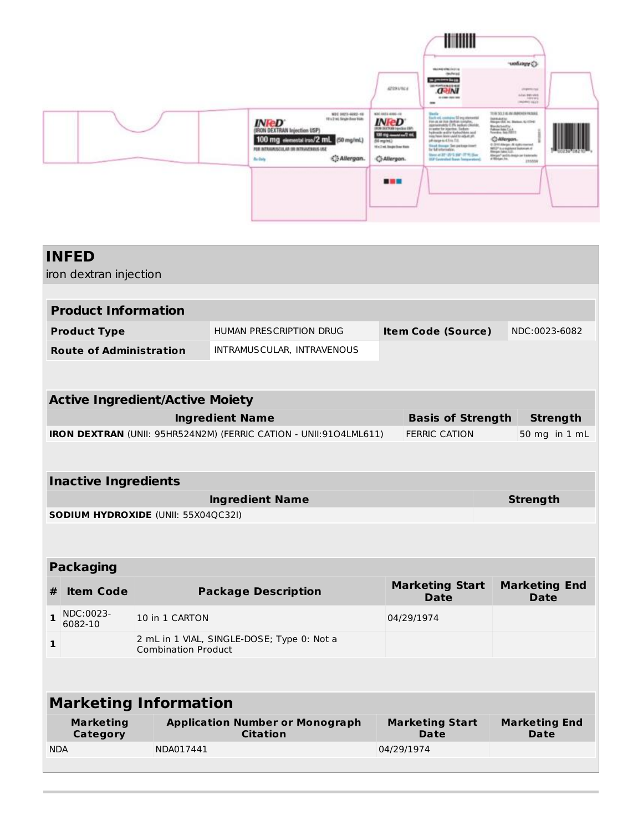

|                                                                   | <b>INFED</b>                        |                            |                                                           |                           |                                       |  |                                     |  |  |
|-------------------------------------------------------------------|-------------------------------------|----------------------------|-----------------------------------------------------------|---------------------------|---------------------------------------|--|-------------------------------------|--|--|
|                                                                   | iron dextran injection              |                            |                                                           |                           |                                       |  |                                     |  |  |
|                                                                   |                                     |                            |                                                           |                           |                                       |  |                                     |  |  |
| <b>Product Information</b>                                        |                                     |                            |                                                           |                           |                                       |  |                                     |  |  |
|                                                                   | <b>Product Type</b>                 |                            | <b>HUMAN PRESCRIPTION DRUG</b>                            | <b>Item Code (Source)</b> |                                       |  | NDC:0023-6082                       |  |  |
|                                                                   | <b>Route of Administration</b>      |                            | INTRAMUSCULAR, INTRAVENOUS                                |                           |                                       |  |                                     |  |  |
|                                                                   |                                     |                            |                                                           |                           |                                       |  |                                     |  |  |
| <b>Active Ingredient/Active Moiety</b>                            |                                     |                            |                                                           |                           |                                       |  |                                     |  |  |
|                                                                   | <b>Ingredient Name</b>              |                            |                                                           |                           | <b>Basis of Strength</b>              |  | <b>Strength</b>                     |  |  |
| IRON DEXTRAN (UNII: 95HR524N2M) (FERRIC CATION - UNII:9104LML611) |                                     |                            |                                                           |                           | <b>FERRIC CATION</b>                  |  | 50 mg in 1 mL                       |  |  |
|                                                                   |                                     |                            |                                                           |                           |                                       |  |                                     |  |  |
|                                                                   | <b>Inactive Ingredients</b>         |                            |                                                           |                           |                                       |  |                                     |  |  |
|                                                                   |                                     |                            | <b>Ingredient Name</b>                                    |                           |                                       |  | <b>Strength</b>                     |  |  |
| SODIUM HYDROXIDE (UNII: 55X04QC32I)                               |                                     |                            |                                                           |                           |                                       |  |                                     |  |  |
|                                                                   |                                     |                            |                                                           |                           |                                       |  |                                     |  |  |
| <b>Packaging</b>                                                  |                                     |                            |                                                           |                           |                                       |  |                                     |  |  |
| #                                                                 | <b>Item Code</b>                    |                            | <b>Package Description</b>                                |                           | <b>Marketing Start</b><br><b>Date</b> |  | <b>Marketing End</b><br><b>Date</b> |  |  |
| $\mathbf{1}$                                                      | NDC:0023-<br>6082-10                | 10 in 1 CARTON             |                                                           |                           | 04/29/1974                            |  |                                     |  |  |
| 1                                                                 |                                     | <b>Combination Product</b> | 2 mL in 1 VIAL, SINGLE-DOSE; Type 0: Not a                |                           |                                       |  |                                     |  |  |
|                                                                   |                                     |                            |                                                           |                           |                                       |  |                                     |  |  |
|                                                                   |                                     |                            |                                                           |                           |                                       |  |                                     |  |  |
| <b>Marketing Information</b>                                      |                                     |                            |                                                           |                           |                                       |  |                                     |  |  |
|                                                                   | <b>Marketing</b><br><b>Category</b> |                            | <b>Application Number or Monograph</b><br><b>Citation</b> |                           | <b>Marketing Start</b><br>Date        |  | <b>Marketing End</b><br>Date        |  |  |
| <b>NDA</b>                                                        |                                     | NDA017441                  |                                                           |                           | 04/29/1974                            |  |                                     |  |  |
|                                                                   |                                     |                            |                                                           |                           |                                       |  |                                     |  |  |